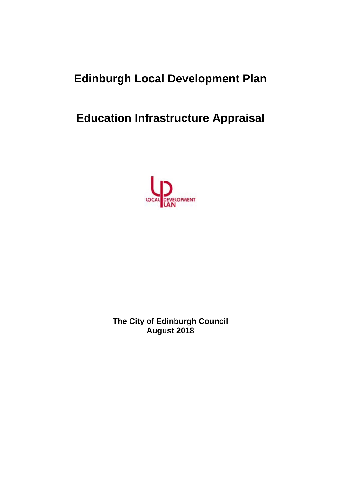# **Edinburgh Local Development Plan**

# **Education Infrastructure Appraisal**



**The City of Edinburgh Council August 2018**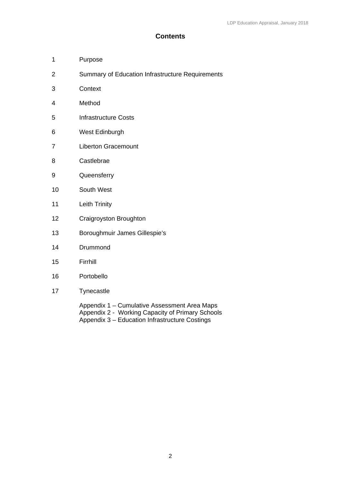## **Contents**

- 1 Purpose
- 2 Summary of Education Infrastructure Requirements
- 3 Context
- 4 Method
- 5 Infrastructure Costs
- 6 West Edinburgh
- 7 Liberton Gracemount
- 8 Castlebrae
- 9 Queensferry
- 10 South West
- 11 Leith Trinity
- 12 Craigroyston Broughton
- 13 Boroughmuir James Gillespie's
- 14 Drummond
- 15 Firrhill
- 16 Portobello
- 17 Tynecastle

Appendix 1 – Cumulative Assessment Area Maps Appendix 2 - Working Capacity of Primary Schools Appendix 3 – Education Infrastructure Costings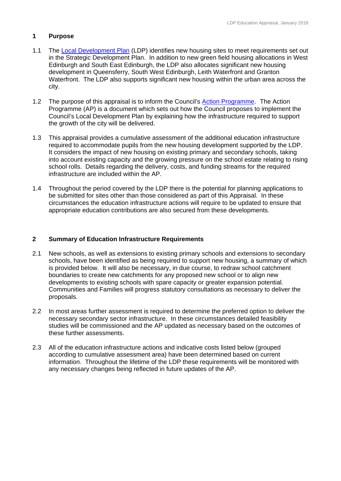## **1 Purpose**

- 1.1 The Local Development Plan (LDP) identifies new housing sites to meet requirements set out in the Strategic Development Plan. In addition to new green field housing allocations in West Edinburgh and South East Edinburgh, the LDP also allocates significant new housing development in Queensferry, South West Edinburgh, Leith Waterfront and Granton Waterfront. The LDP also supports significant new housing within the urban area across the city.
- 1.2 The purpose of this appraisal is to inform the Council's Action Programme. The Action Programme (AP) is a document which sets out how the Council proposes to implement the Council's Local Development Plan by explaining how the infrastructure required to support the growth of the city will be delivered.
- 1.3 This appraisal provides a cumulative assessment of the additional education infrastructure required to accommodate pupils from the new housing development supported by the LDP. It considers the impact of new housing on existing primary and secondary schools, taking into account existing capacity and the growing pressure on the school estate relating to rising school rolls. Details regarding the delivery, costs, and funding streams for the required infrastructure are included within the AP.
- 1.4 Throughout the period covered by the LDP there is the potential for planning applications to be submitted for sites other than those considered as part of this Appraisal. In these circumstances the education infrastructure actions will require to be updated to ensure that appropriate education contributions are also secured from these developments.

## **2 Summary of Education Infrastructure Requirements**

- 2.1 New schools, as well as extensions to existing primary schools and extensions to secondary schools, have been identified as being required to support new housing, a summary of which is provided below. It will also be necessary, in due course, to redraw school catchment boundaries to create new catchments for any proposed new school or to align new developments to existing schools with spare capacity or greater expansion potential. Communities and Families will progress statutory consultations as necessary to deliver the proposals.
- 2.2 In most areas further assessment is required to determine the preferred option to deliver the necessary secondary sector infrastructure. In these circumstances detailed feasibility studies will be commissioned and the AP updated as necessary based on the outcomes of these further assessments.
- 2.3 All of the education infrastructure actions and indicative costs listed below (grouped according to cumulative assessment area) have been determined based on current information. Throughout the lifetime of the LDP these requirements will be monitored with any necessary changes being reflected in future updates of the AP.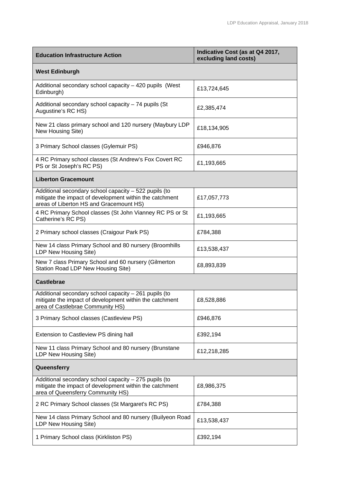| <b>Education Infrastructure Action</b>                                                                                                                      | Indicative Cost (as at Q4 2017,<br>excluding land costs) |  |  |  |
|-------------------------------------------------------------------------------------------------------------------------------------------------------------|----------------------------------------------------------|--|--|--|
| <b>West Edinburgh</b>                                                                                                                                       |                                                          |  |  |  |
| Additional secondary school capacity - 420 pupils (West<br>Edinburgh)                                                                                       | £13,724,645                                              |  |  |  |
| Additional secondary school capacity - 74 pupils (St<br>Augustine's RC HS)                                                                                  | £2,385,474                                               |  |  |  |
| New 21 class primary school and 120 nursery (Maybury LDP<br>New Housing Site)                                                                               | £18,134,905                                              |  |  |  |
| 3 Primary School classes (Gylemuir PS)                                                                                                                      | £946,876                                                 |  |  |  |
| 4 RC Primary school classes (St Andrew's Fox Covert RC<br>PS or St Joseph's RC PS)                                                                          | £1,193,665                                               |  |  |  |
| <b>Liberton Gracemount</b>                                                                                                                                  |                                                          |  |  |  |
| Additional secondary school capacity - 522 pupils (to<br>mitigate the impact of development within the catchment<br>areas of Liberton HS and Gracemount HS) | £17,057,773                                              |  |  |  |
| 4 RC Primary School classes (St John Vianney RC PS or St<br>Catherine's RC PS)                                                                              | £1,193,665                                               |  |  |  |
| 2 Primary school classes (Craigour Park PS)                                                                                                                 | £784,388                                                 |  |  |  |
| New 14 class Primary School and 80 nursery (Broomhills<br>LDP New Housing Site)                                                                             | £13,538,437                                              |  |  |  |
| New 7 class Primary School and 60 nursery (Gilmerton<br>Station Road LDP New Housing Site)                                                                  | £8,893,839                                               |  |  |  |
| <b>Castlebrae</b>                                                                                                                                           |                                                          |  |  |  |
| Additional secondary school capacity - 261 pupils (to<br>mitigate the impact of development within the catchment<br>area of Castlebrae Community HS)        | £8,528,886                                               |  |  |  |
| 3 Primary School classes (Castleview PS)                                                                                                                    | £946,876                                                 |  |  |  |
| Extension to Castleview PS dining hall                                                                                                                      | £392,194                                                 |  |  |  |
| New 11 class Primary School and 80 nursery (Brunstane<br>LDP New Housing Site)                                                                              | £12,218,285                                              |  |  |  |
| Queensferry                                                                                                                                                 |                                                          |  |  |  |
| Additional secondary school capacity - 275 pupils (to<br>mitigate the impact of development within the catchment<br>area of Queensferry Community HS)       | £8,986,375                                               |  |  |  |
| 2 RC Primary School classes (St Margaret's RC PS)                                                                                                           | £784,388                                                 |  |  |  |
| New 14 class Primary School and 80 nursery (Builyeon Road<br>LDP New Housing Site)                                                                          | £13,538,437                                              |  |  |  |
| 1 Primary School class (Kirkliston PS)                                                                                                                      | £392,194                                                 |  |  |  |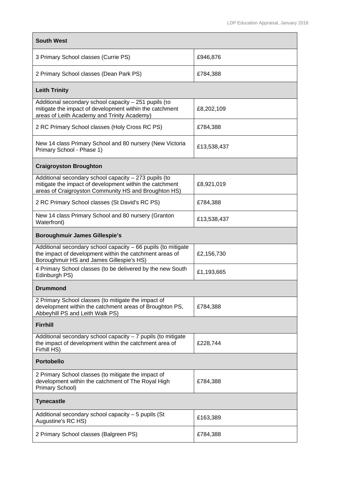| <b>South West</b>                                                                                                                                                        |             |
|--------------------------------------------------------------------------------------------------------------------------------------------------------------------------|-------------|
| 3 Primary School classes (Currie PS)                                                                                                                                     | £946,876    |
| 2 Primary School classes (Dean Park PS)                                                                                                                                  | £784,388    |
| <b>Leith Trinity</b>                                                                                                                                                     |             |
| Additional secondary school capacity - 251 pupils (to<br>mitigate the impact of development within the catchment<br>areas of Leith Academy and Trinity Academy)          | £8,202,109  |
| 2 RC Primary School classes (Holy Cross RC PS)                                                                                                                           | £784,388    |
| New 14 class Primary School and 80 nursery (New Victoria<br>Primary School - Phase 1)                                                                                    | £13,538,437 |
| <b>Craigroyston Broughton</b>                                                                                                                                            |             |
| Additional secondary school capacity - 273 pupils (to<br>mitigate the impact of development within the catchment<br>areas of Craigroyston Community HS and Broughton HS) | £8,921,019  |
| 2 RC Primary School classes (St David's RC PS)                                                                                                                           | £784,388    |
| New 14 class Primary School and 80 nursery (Granton<br>Waterfront)                                                                                                       | £13,538,437 |
| <b>Boroughmuir James Gillespie's</b>                                                                                                                                     |             |
| Additional secondary school capacity - 66 pupils (to mitigate<br>the impact of development within the catchment areas of<br>Boroughmuir HS and James Gillespie's HS)     | £2,156,730  |
| 4 Primary School classes (to be delivered by the new South<br>Edinburgh PS)                                                                                              | £1,193,665  |
| Drummond                                                                                                                                                                 |             |
| 2 Primary School classes (to mitigate the impact of<br>development within the catchment areas of Broughton PS,<br>Abbeyhill PS and Leith Walk PS)                        | £784,388    |
| <b>Firrhill</b>                                                                                                                                                          |             |
| Additional secondary school capacity $-7$ pupils (to mitigate<br>the impact of development within the catchment area of<br>Firhill HS)                                   | £228,744    |
| <b>Portobello</b>                                                                                                                                                        |             |
| 2 Primary School classes (to mitigate the impact of<br>development within the catchment of The Royal High<br>Primary School)                                             | £784,388    |
| <b>Tynecastle</b>                                                                                                                                                        |             |
| Additional secondary school capacity - 5 pupils (St<br>Augustine's RC HS)                                                                                                | £163,389    |
| 2 Primary School classes (Balgreen PS)                                                                                                                                   | £784,388    |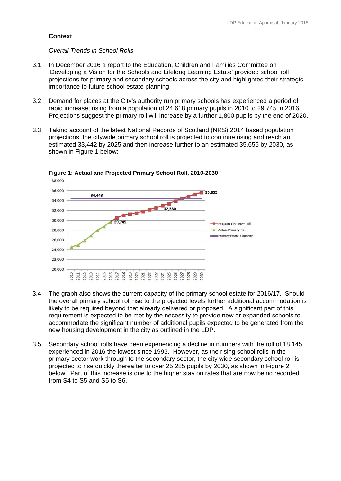## **Context**

### *Overall Trends in School Rolls*

- 3.1 In December 2016 a report to the Education, Children and Families Committee on 'Developing a Vision for the Schools and Lifelong Learning Estate' provided school roll projections for primary and secondary schools across the city and highlighted their strategic importance to future school estate planning.
- 3.2 Demand for places at the City's authority run primary schools has experienced a period of rapid increase; rising from a population of 24,618 primary pupils in 2010 to 29,745 in 2016. Projections suggest the primary roll will increase by a further 1,800 pupils by the end of 2020.
- 3.3 Taking account of the latest National Records of Scotland (NRS) 2014 based population projections, the citywide primary school roll is projected to continue rising and reach an estimated 33,442 by 2025 and then increase further to an estimated 35,655 by 2030, as shown in Figure 1 below:



**Figure 1: Actual and Projected Primary School Roll, 2010-2030** 

- 3.4 The graph also shows the current capacity of the primary school estate for 2016/17. Should the overall primary school roll rise to the projected levels further additional accommodation is likely to be required beyond that already delivered or proposed. A significant part of this requirement is expected to be met by the necessity to provide new or expanded schools to accommodate the significant number of additional pupils expected to be generated from the new housing development in the city as outlined in the LDP.
- 3.5 Secondary school rolls have been experiencing a decline in numbers with the roll of 18,145 experienced in 2016 the lowest since 1993. However, as the rising school rolls in the primary sector work through to the secondary sector, the city wide secondary school roll is projected to rise quickly thereafter to over 25,285 pupils by 2030, as shown in Figure 2 below. Part of this increase is due to the higher stay on rates that are now being recorded from S4 to S5 and S5 to S6.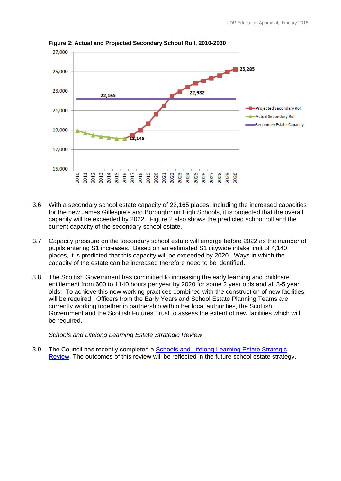

**Figure 2: Actual and Projected Secondary School Roll, 2010-2030** 

- 3.6 With a secondary school estate capacity of 22,165 places, including the increased capacities for the new James Gillespie's and Boroughmuir High Schools, it is projected that the overall capacity will be exceeded by 2022. Figure 2 also shows the predicted school roll and the current capacity of the secondary school estate.
- 3.7 Capacity pressure on the secondary school estate will emerge before 2022 as the number of pupils entering S1 increases. Based on an estimated S1 citywide intake limit of 4,140 places, it is predicted that this capacity will be exceeded by 2020. Ways in which the capacity of the estate can be increased therefore need to be identified.
- 3.8 The Scottish Government has committed to increasing the early learning and childcare entitlement from 600 to 1140 hours per year by 2020 for some 2 year olds and all 3-5 year olds. To achieve this new working practices combined with the construction of new facilities will be required. Officers from the Early Years and School Estate Planning Teams are currently working together in partnership with other local authorities, the Scottish Government and the Scottish Futures Trust to assess the extent of new facilities which will be required.

*Schools and Lifelong Learning Estate Strategic Review* 

3.9 The Council has recently completed a Schools and Lifelong Learning Estate Strategic Review. The outcomes of this review will be reflected in the future school estate strategy.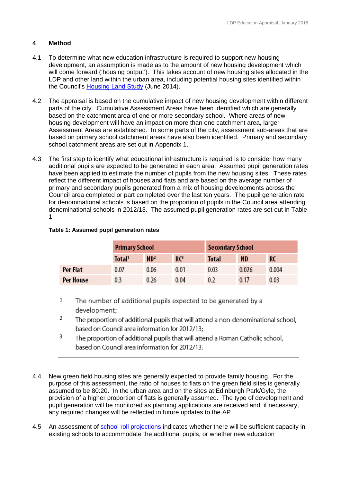## **4 Method**

- 4.1 To determine what new education infrastructure is required to support new housing development, an assumption is made as to the amount of new housing development which will come forward ('housing output'). This takes account of new housing sites allocated in the LDP and other land within the urban area, including potential housing sites identified within the Council's Housing Land Study (June 2014).
- 4.2 The appraisal is based on the cumulative impact of new housing development within different parts of the city. Cumulative Assessment Areas have been identified which are generally based on the catchment area of one or more secondary school. Where areas of new housing development will have an impact on more than one catchment area, larger Assessment Areas are established. In some parts of the city, assessment sub-areas that are based on primary school catchment areas have also been identified. Primary and secondary school catchment areas are set out in Appendix 1.
- 4.3 The first step to identify what educational infrastructure is required is to consider how many additional pupils are expected to be generated in each area. Assumed pupil generation rates have been applied to estimate the number of pupils from the new housing sites. These rates reflect the different impact of houses and flats and are based on the average number of primary and secondary pupils generated from a mix of housing developments across the Council area completed or part completed over the last ten years. The pupil generation rate for denominational schools is based on the proportion of pupils in the Council area attending denominational schools in 2012/13. The assumed pupil generation rates are set out in Table 1.

## **Table 1: Assumed pupil generation rates**

|           | <b>Primary School</b> |                 | <b>Secondary School</b> |              |           |       |
|-----------|-----------------------|-----------------|-------------------------|--------------|-----------|-------|
|           | Total <sup>1</sup>    | ND <sup>2</sup> | RC <sup>3</sup>         | <b>Total</b> | <b>ND</b> | RC    |
| Per Flat  | 0.07                  | 0.06            | 0.01                    | 0.03         | 0.026     | 0.004 |
| Per House | 0.3                   | 0.26            | 0.04                    | 0.2          | 0.17      | 0.03  |

- $\mathbf 1$ The number of additional pupils expected to be generated by a development;
- $\overline{2}$ The proportion of additional pupils that will attend a non-denominational school, based on Council area information for 2012/13;
- 3 The proportion of additional pupils that will attend a Roman Catholic school, based on Council area information for 2012/13.
- 4.4 New green field housing sites are generally expected to provide family housing. For the purpose of this assessment, the ratio of houses to flats on the green field sites is generally assumed to be 80:20. In the urban area and on the sites at Edinburgh Park/Gyle, the provision of a higher proportion of flats is generally assumed. The type of development and pupil generation will be monitored as planning applications are received and, if necessary, any required changes will be reflected in future updates to the AP.
- 4.5 An assessment of school roll projections indicates whether there will be sufficient capacity in existing schools to accommodate the additional pupils, or whether new education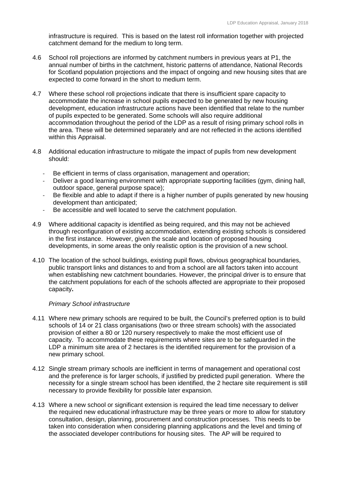infrastructure is required. This is based on the latest roll information together with projected catchment demand for the medium to long term.

- 4.6 School roll projections are informed by catchment numbers in previous years at P1, the annual number of births in the catchment, historic patterns of attendance, National Records for Scotland population projections and the impact of ongoing and new housing sites that are expected to come forward in the short to medium term.
- 4.7 Where these school roll projections indicate that there is insufficient spare capacity to accommodate the increase in school pupils expected to be generated by new housing development, education infrastructure actions have been identified that relate to the number of pupils expected to be generated. Some schools will also require additional accommodation throughout the period of the LDP as a result of rising primary school rolls in the area. These will be determined separately and are not reflected in the actions identified within this Appraisal.
- 4.8 Additional education infrastructure to mitigate the impact of pupils from new development should:
	- Be efficient in terms of class organisation, management and operation;
	- ‐ Deliver a good learning environment with appropriate supporting facilities (gym, dining hall, outdoor space, general purpose space);
	- ‐ Be flexible and able to adapt if there is a higher number of pupils generated by new housing development than anticipated;
	- ‐ Be accessible and well located to serve the catchment population.
- 4.9 Where additional capacity is identified as being required, and this may not be achieved through reconfiguration of existing accommodation, extending existing schools is considered in the first instance. However, given the scale and location of proposed housing developments, in some areas the only realistic option is the provision of a new school.
- 4.10 The location of the school buildings, existing pupil flows, obvious geographical boundaries, public transport links and distances to and from a school are all factors taken into account when establishing new catchment boundaries. However, the principal driver is to ensure that the catchment populations for each of the schools affected are appropriate to their proposed capacity**.**

## *Primary School infrastructure*

- 4.11 Where new primary schools are required to be built, the Council's preferred option is to build schools of 14 or 21 class organisations (two or three stream schools) with the associated provision of either a 80 or 120 nursery respectively to make the most efficient use of capacity. To accommodate these requirements where sites are to be safeguarded in the LDP a minimum site area of 2 hectares is the identified requirement for the provision of a new primary school.
- 4.12 Single stream primary schools are inefficient in terms of management and operational cost and the preference is for larger schools, if justified by predicted pupil generation. Where the necessity for a single stream school has been identified, the 2 hectare site requirement is still necessary to provide flexibility for possible later expansion.
- 4.13 Where a new school or significant extension is required the lead time necessary to deliver the required new educational infrastructure may be three years or more to allow for statutory consultation, design, planning, procurement and construction processes. This needs to be taken into consideration when considering planning applications and the level and timing of the associated developer contributions for housing sites. The AP will be required to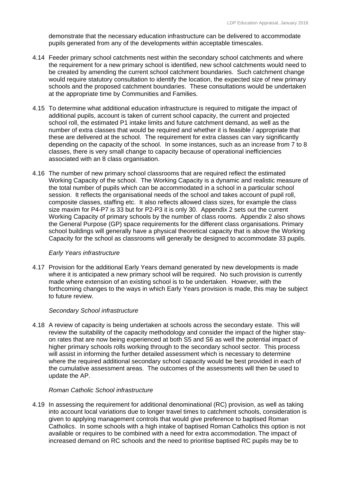demonstrate that the necessary education infrastructure can be delivered to accommodate pupils generated from any of the developments within acceptable timescales.

- 4.14 Feeder primary school catchments nest within the secondary school catchments and where the requirement for a new primary school is identified, new school catchments would need to be created by amending the current school catchment boundaries. Such catchment change would require statutory consultation to identify the location, the expected size of new primary schools and the proposed catchment boundaries. These consultations would be undertaken at the appropriate time by Communities and Families.
- 4.15 To determine what additional education infrastructure is required to mitigate the impact of additional pupils, account is taken of current school capacity, the current and projected school roll, the estimated P1 intake limits and future catchment demand, as well as the number of extra classes that would be required and whether it is feasible / appropriate that these are delivered at the school. The requirement for extra classes can vary significantly depending on the capacity of the school. In some instances, such as an increase from 7 to 8 classes, there is very small change to capacity because of operational inefficiencies associated with an 8 class organisation.
- 4.16 The number of new primary school classrooms that are required reflect the estimated Working Capacity of the school. The Working Capacity is a dynamic and realistic measure of the total number of pupils which can be accommodated in a school in a particular school session. It reflects the organisational needs of the school and takes account of pupil roll, composite classes, staffing etc. It also reflects allowed class sizes, for example the class size maxim for P4-P7 is 33 but for P2-P3 it is only 30. Appendix 2 sets out the current Working Capacity of primary schools by the number of class rooms. Appendix 2 also shows the General Purpose (GP) space requirements for the different class organisations. Primary school buildings will generally have a physical theoretical capacity that is above the Working Capacity for the school as classrooms will generally be designed to accommodate 33 pupils.

## *Early Years infrastructure*

4.17 Provision for the additional Early Years demand generated by new developments is made where it is anticipated a new primary school will be required. No such provision is currently made where extension of an existing school is to be undertaken. However, with the forthcoming changes to the ways in which Early Years provision is made, this may be subject to future review.

## *Secondary School infrastructure*

4.18 A review of capacity is being undertaken at schools across the secondary estate. This will review the suitability of the capacity methodology and consider the impact of the higher stayon rates that are now being experienced at both S5 and S6 as well the potential impact of higher primary schools rolls working through to the secondary school sector. This process will assist in informing the further detailed assessment which is necessary to determine where the required additional secondary school capacity would be best provided in each of the cumulative assessment areas. The outcomes of the assessments will then be used to update the AP.

## *Roman Catholic School infrastructure*

4.19 In assessing the requirement for additional denominational (RC) provision, as well as taking into account local variations due to longer travel times to catchment schools, consideration is given to applying management controls that would give preference to baptised Roman Catholics. In some schools with a high intake of baptised Roman Catholics this option is not available or requires to be combined with a need for extra accommodation. The impact of increased demand on RC schools and the need to prioritise baptised RC pupils may be to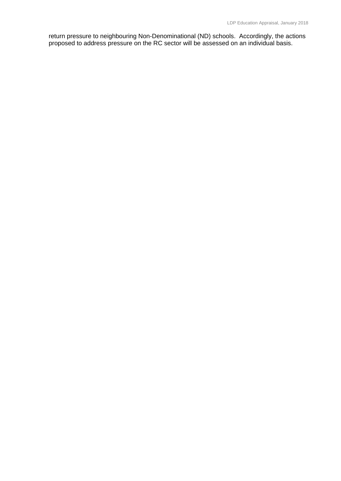return pressure to neighbouring Non-Denominational (ND) schools. Accordingly, the actions proposed to address pressure on the RC sector will be assessed on an individual basis.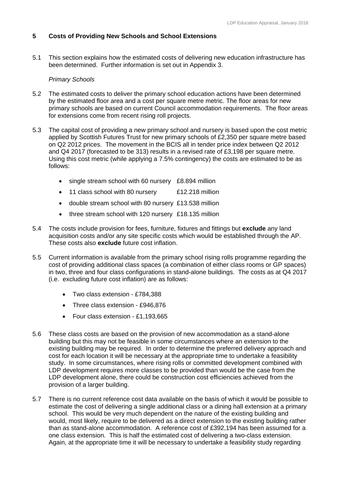## **5 Costs of Providing New Schools and School Extensions**

5.1 This section explains how the estimated costs of delivering new education infrastructure has been determined. Further information is set out in Appendix 3.

## *Primary Schools*

- 5.2 The estimated costs to deliver the primary school education actions have been determined by the estimated floor area and a cost per square metre metric. The floor areas for new primary schools are based on current Council accommodation requirements. The floor areas for extensions come from recent rising roll projects.
- 5.3 The capital cost of providing a new primary school and nursery is based upon the cost metric applied by Scottish Futures Trust for new primary schools of £2,350 per square metre based on Q2 2012 prices. The movement in the BCIS all in tender price index between Q2 2012 and Q4 2017 (forecasted to be 313) results in a revised rate of £3,198 per square metre. Using this cost metric (while applying a 7.5% contingency) the costs are estimated to be as follows:
	- single stream school with 60 nursery £8.894 million
	- 11 class school with 80 nursery E12.218 million
	- double stream school with 80 nursery £13.538 million
	- three stream school with 120 nursery £18.135 million
- 5.4 The costs include provision for fees, furniture, fixtures and fittings but **exclude** any land acquisition costs and/or any site specific costs which would be established through the AP. These costs also **exclude** future cost inflation.
- 5.5 Current information is available from the primary school rising rolls programme regarding the cost of providing additional class spaces (a combination of either class rooms or GP spaces) in two, three and four class configurations in stand-alone buildings. The costs as at Q4 2017 (i.e. excluding future cost inflation) are as follows:
	- Two class extension £784,388
	- Three class extension £946,876
	- Four class extension £1,193,665
- 5.6 These class costs are based on the provision of new accommodation as a stand-alone building but this may not be feasible in some circumstances where an extension to the existing building may be required. In order to determine the preferred delivery approach and cost for each location it will be necessary at the appropriate time to undertake a feasibility study. In some circumstances, where rising rolls or committed development combined with LDP development requires more classes to be provided than would be the case from the LDP development alone, there could be construction cost efficiencies achieved from the provision of a larger building.
- 5.7 There is no current reference cost data available on the basis of which it would be possible to estimate the cost of delivering a single additional class or a dining hall extension at a primary school. This would be very much dependent on the nature of the existing building and would, most likely, require to be delivered as a direct extension to the existing building rather than as stand-alone accommodation. A reference cost of £392,194 has been assumed for a one class extension. This is half the estimated cost of delivering a two-class extension. Again, at the appropriate time it will be necessary to undertake a feasibility study regarding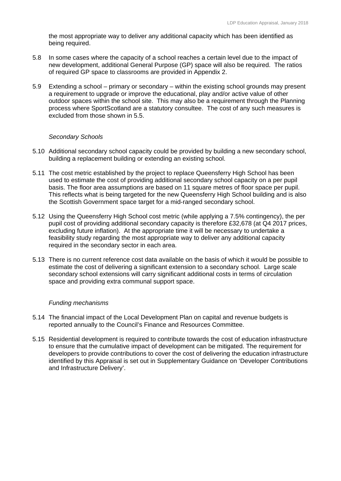the most appropriate way to deliver any additional capacity which has been identified as being required.

- 5.8 In some cases where the capacity of a school reaches a certain level due to the impact of new development, additional General Purpose (GP) space will also be required. The ratios of required GP space to classrooms are provided in Appendix 2.
- 5.9 Extending a school primary or secondary within the existing school grounds may present a requirement to upgrade or improve the educational, play and/or active value of other outdoor spaces within the school site. This may also be a requirement through the Planning process where SportScotland are a statutory consultee. The cost of any such measures is excluded from those shown in 5.5.

## *Secondary Schools*

- 5.10 Additional secondary school capacity could be provided by building a new secondary school, building a replacement building or extending an existing school.
- 5.11 The cost metric established by the project to replace Queensferry High School has been used to estimate the cost of providing additional secondary school capacity on a per pupil basis. The floor area assumptions are based on 11 square metres of floor space per pupil. This reflects what is being targeted for the new Queensferry High School building and is also the Scottish Government space target for a mid-ranged secondary school.
- 5.12 Using the Queensferry High School cost metric (while applying a 7.5% contingency), the per pupil cost of providing additional secondary capacity is therefore £32,678 (at Q4 2017 prices, excluding future inflation). At the appropriate time it will be necessary to undertake a feasibility study regarding the most appropriate way to deliver any additional capacity required in the secondary sector in each area.
- 5.13 There is no current reference cost data available on the basis of which it would be possible to estimate the cost of delivering a significant extension to a secondary school. Large scale secondary school extensions will carry significant additional costs in terms of circulation space and providing extra communal support space.

## *Funding mechanisms*

- 5.14 The financial impact of the Local Development Plan on capital and revenue budgets is reported annually to the Council's Finance and Resources Committee.
- 5.15 Residential development is required to contribute towards the cost of education infrastructure to ensure that the cumulative impact of development can be mitigated. The requirement for developers to provide contributions to cover the cost of delivering the education infrastructure identified by this Appraisal is set out in Supplementary Guidance on 'Developer Contributions and Infrastructure Delivery'.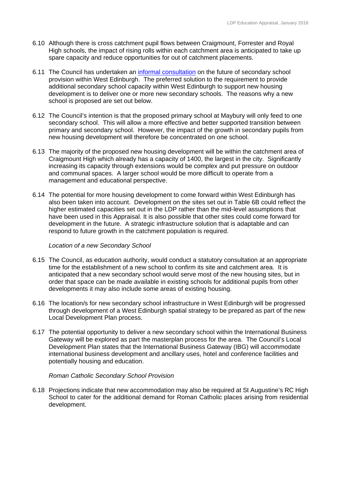- spare capacity and reduce opportunities for out of catchment placements. 6.10 Although there is cross catchment pupil flows between Craigmount, Forrester and Royal High schools, the impact of rising rolls within each catchment area is anticipated to take up
- 6.11 The Council has undertaken an informal consultation on the future of secondary school provision within West Edinburgh. The preferred solution to the requirement to provide additional secondary school capacity within West Edinburgh to support new housing development is to deliver one or more new secondary schools. The reasons why a new school is proposed are set out below.
- new housing development will therefore be concentrated on one school. 6.12 The Council's intention is that the proposed primary school at Maybury will only feed to one secondary school. This will allow a more effective and better supported transition between primary and secondary school. However, the impact of the growth in secondary pupils from
- 6.13 The majority of the proposed new housing development will be within the catchment area of Craigmount High which already has a capacity of 1400, the largest in the city. Significantly increasing its capacity through extensions would be complex and put pressure on outdoor and communal spaces. A larger school would be more difficult to operate from a management and educational perspective.
- 6.14 The potential for more housing development to come forward within West Edinburgh has also been taken into account. Development on the sites set out in Table 6B could reflect the higher estimated capacities set out in the LDP rather than the mid-level assumptions that have been used in this Appraisal. It is also possible that other sites could come forward for development in the future. A strategic infrastructure solution that is adaptable and can respond to future growth in the catchment population is required.

## *Location of a new Secondary School*

- 6.15 The Council, as education authority, would conduct a statutory consultation at an appropriate time for the establishment of a new school to confirm its site and catchment area. It is anticipated that a new secondary school would serve most of the new housing sites, but in order that space can be made available in existing schools for additional pupils from other developments it may also include some areas of existing housing.
- 6.16 The location/s for new secondary school infrastructure in West Edinburgh will be progressed through development of a West Edinburgh spatial strategy to be prepared as part of the new Local Development Plan process.
- 6.17 The potential opportunity to deliver a new secondary school within the International Business Gateway will be explored as part the masterplan process for the area. The Council's Local Development Plan states that the International Business Gateway (IBG) will accommodate international business development and ancillary uses, hotel and conference facilities and potentially housing and education.

## *Roman Catholic Secondary School Provision*

6.18 Projections indicate that new accommodation may also be required at St Augustine's RC High School to cater for the additional demand for Roman Catholic places arising from residential development.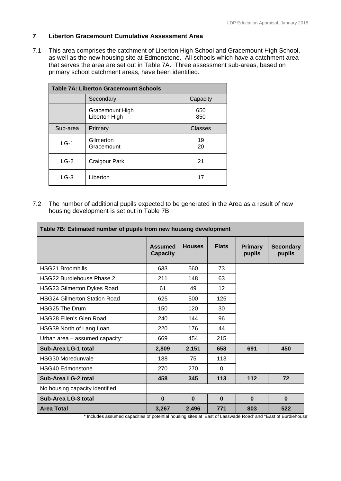## **7 Liberton Gracemount Cumulative Assessment Area**

7.1 This area comprises the catchment of Liberton High School and Gracemount High School, as well as the new housing site at Edmonstone. All schools which have a catchment area that serves the area are set out in Table 7A. Three assessment sub-areas, based on primary school catchment areas, have been identified.

| <b>Table 7A: Liberton Gracemount Schools</b> |                                  |            |  |  |
|----------------------------------------------|----------------------------------|------------|--|--|
|                                              | Secondary<br>Capacity            |            |  |  |
|                                              | Gracemount High<br>Liberton High | 650<br>850 |  |  |
| Sub-area                                     | Primary                          | Classes    |  |  |
| $LG-1$                                       | Gilmerton<br>Gracemount          | 19<br>20   |  |  |
| $LG-2$                                       | Craigour Park                    | 21         |  |  |
| $LG-3$                                       | Liberton                         | 17         |  |  |

7.2 The number of additional pupils expected to be generated in the Area as a result of new housing development is set out in Table 7B.

| Table 7B: Estimated number of pupils from new housing development |                                   |               |              |                          |                            |
|-------------------------------------------------------------------|-----------------------------------|---------------|--------------|--------------------------|----------------------------|
|                                                                   | <b>Assumed</b><br><b>Capacity</b> | <b>Houses</b> | <b>Flats</b> | <b>Primary</b><br>pupils | <b>Secondary</b><br>pupils |
| <b>HSG21 Broomhills</b>                                           | 633                               | 560           | 73           |                          |                            |
| <b>HSG22 Burdiehouse Phase 2</b>                                  | 211                               | 148           | 63           |                          |                            |
| <b>HSG23 Gilmerton Dykes Road</b>                                 | 61                                | 49            | 12           |                          |                            |
| <b>HSG24 Gilmerton Station Road</b>                               | 625                               | 500           | 125          |                          |                            |
| <b>HSG25 The Drum</b>                                             | 150                               | 120           | 30           |                          |                            |
| <b>HSG28 Ellen's Glen Road</b>                                    | 240                               | 144           | 96           |                          |                            |
| HSG39 North of Lang Loan                                          | 220                               | 176           | 44           |                          |                            |
| Urban area - assumed capacity*                                    | 669                               | 454           | 215          |                          |                            |
| Sub-Area LG-1 total                                               | 2,809                             | 2,151         | 658          | 691                      | 450                        |
| HSG30 Moredunvale                                                 | 188                               | 75            | 113          |                          |                            |
| <b>HSG40 Edmonstone</b>                                           | 270                               | 270           | 0            |                          |                            |
| Sub-Area LG-2 total                                               | 458                               | 345           | 113          | 112                      | 72                         |
| No housing capacity identified                                    |                                   |               |              |                          |                            |
| Sub-Area LG-3 total                                               | $\bf{0}$                          | $\bf{0}$      | $\bf{0}$     | $\bf{0}$                 | $\bf{0}$                   |
| <b>Area Total</b><br>$+$ 1. $-$ 1. $-$ 1.<br>                     | 3,267                             | 2,496         | 771          | 803<br><sub>n</sub>      | 522                        |

\* Includes assumed capacities of potential housing sites at 'East of Lasswade Road' and ''East of Burdiehouse'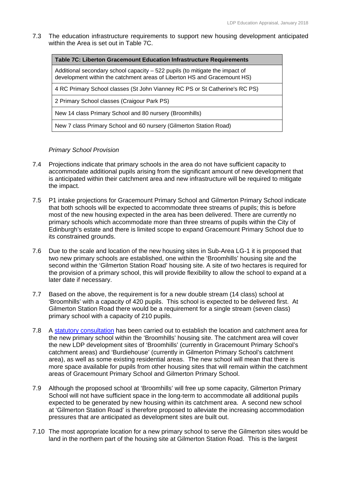7.3 The education infrastructure requirements to support new housing development anticipated within the Area is set out in Table 7C.

| <b>Table 7C: Liberton Gracemount Education Infrastructure Requirements</b>                                                                               |
|----------------------------------------------------------------------------------------------------------------------------------------------------------|
| Additional secondary school capacity – 522 pupils (to mitigate the impact of<br>development within the catchment areas of Liberton HS and Gracemount HS) |
| 4 RC Primary School classes (St John Vianney RC PS or St Catherine's RC PS)                                                                              |
| 2 Primary School classes (Craigour Park PS)                                                                                                              |
| New 14 class Primary School and 80 nursery (Broomhills)                                                                                                  |
| New 7 class Primary School and 60 nursery (Gilmerton Station Road)                                                                                       |

## *Primary School Provision*

- 7.4 Projections indicate that primary schools in the area do not have sufficient capacity to accommodate additional pupils arising from the significant amount of new development that is anticipated within their catchment area and new infrastructure will be required to mitigate the impact.
- 7.5 P1 intake projections for Gracemount Primary School and Gilmerton Primary School indicate that both schools will be expected to accommodate three streams of pupils; this is before most of the new housing expected in the area has been delivered. There are currently no primary schools which accommodate more than three streams of pupils within the City of Edinburgh's estate and there is limited scope to expand Gracemount Primary School due to its constrained grounds.
- 7.6 Due to the scale and location of the new housing sites in Sub-Area LG-1 it is proposed that two new primary schools are established, one within the 'Broomhills' housing site and the second within the 'Gilmerton Station Road' housing site. A site of two hectares is required for the provision of a primary school, this will provide flexibility to allow the school to expand at a later date if necessary.
- 7.7 Based on the above, the requirement is for a new double stream (14 class) school at 'Broomhills' with a capacity of 420 pupils. This school is expected to be delivered first. At Gilmerton Station Road there would be a requirement for a single stream (seven class) primary school with a capacity of 210 pupils.
- 7.8 A statutory consultation has been carried out to establish the location and catchment area for the new primary school within the 'Broomhills' housing site. The catchment area will cover the new LDP development sites of 'Broomhills' (currently in Gracemount Primary School's catchment areas) and 'Burdiehouse' (currently in Gilmerton Primary School's catchment area), as well as some existing residential areas. The new school will mean that there is more space available for pupils from other housing sites that will remain within the catchment areas of Gracemount Primary School and Gilmerton Primary School.
- 7.9 Although the proposed school at 'Broomhills' will free up some capacity, Gilmerton Primary School will not have sufficient space in the long-term to accommodate all additional pupils expected to be generated by new housing within its catchment area. A second new school at 'Gilmerton Station Road' is therefore proposed to alleviate the increasing accommodation pressures that are anticipated as development sites are built out.
- 7.10 The most appropriate location for a new primary school to serve the Gilmerton sites would be land in the northern part of the housing site at Gilmerton Station Road. This is the largest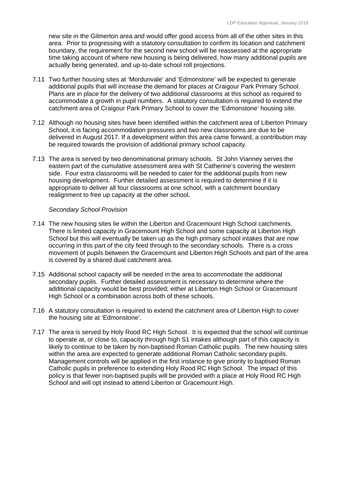new site in the Gilmerton area and would offer good access from all of the other sites in this area. Prior to progressing with a statutory consultation to confirm its location and catchment boundary, the requirement for the second new school will be reassessed at the appropriate time taking account of where new housing is being delivered, how many additional pupils are actually being generated, and up-to-date school roll projections.

- 7.11 Two further housing sites at 'Mordunvale' and 'Edmonstone' will be expected to generate additional pupils that will increase the demand for places at Craigour Park Primary School. Plans are in place for the delivery of two additional classrooms at this school as required to accommodate a growth in pupil numbers. A statutory consultation is required to extend the catchment area of Craigour Park Primary School to cover the 'Edmonstone' housing site.
- 7.12 Although no housing sites have been identified within the catchment area of Liberton Primary School, it is facing accommodation pressures and two new classrooms are due to be delivered in August 2017. If a development within this area came forward, a contribution may be required towards the provision of additional primary school capacity.
- 7.13 The area is served by two denominational primary schools. St John Vianney serves the eastern part of the cumulative assessment area with St Catherine's covering the western side. Four extra classrooms will be needed to cater for the additional pupils from new housing development. Further detailed assessment is required to determine if it is appropriate to deliver all four classrooms at one school, with a catchment boundary realignment to free up capacity at the other school.

## *Secondary School Provision*

- 7.14 The new housing sites lie within the Liberton and Gracemount High School catchments. There is limited capacity in Gracemount High School and some capacity at Liberton High School but this will eventually be taken up as the high primary school intakes that are now occurring in this part of the city feed through to the secondary schools. There is a cross movement of pupils between the Gracemount and Liberton High Schools and part of the area is covered by a shared dual catchment area.
- 7.15 Additional school capacity will be needed in the area to accommodate the additional secondary pupils. Further detailed assessment is necessary to determine where the additional capacity would be best provided; either at Liberton High School or Gracemount High School or a combination across both of these schools.
- 7.16 A statutory consultation is required to extend the catchment area of Liberton High to cover the housing site at 'Edmonstone'.
- 7.17 The area is served by Holy Rood RC High School. It is expected that the school will continue to operate at, or close to, capacity through high S1 intakes although part of this capacity is likely to continue to be taken by non-baptised Roman Catholic pupils. The new housing sites within the area are expected to generate additional Roman Catholic secondary pupils. Management controls will be applied in the first instance to give priority to baptised Roman Catholic pupils in preference to extending Holy Rood RC High School. The impact of this policy is that fewer non-baptised pupils will be provided with a place at Holy Rood RC High School and will opt instead to attend Liberton or Gracemount High.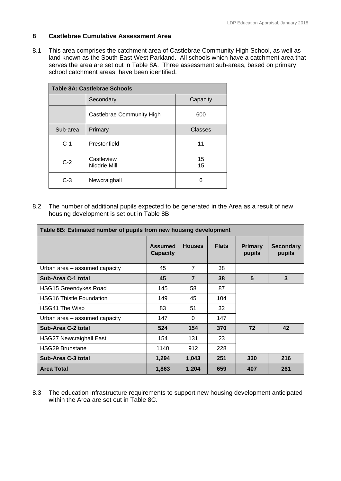## **8 Castlebrae Cumulative Assessment Area**

8.1 This area comprises the catchment area of Castlebrae Community High School, as well as land known as the South East West Parkland. All schools which have a catchment area that serves the area are set out in Table 8A. Three assessment sub-areas, based on primary school catchment areas, have been identified.

|          | <b>Table 8A: Castlebrae Schools</b> |          |
|----------|-------------------------------------|----------|
|          | Secondary                           | Capacity |
|          | Castlebrae Community High           | 600      |
| Sub-area | Primary                             | Classes  |
| $C-1$    | Prestonfield                        | 11       |
| $C-2$    | Castleview<br>Niddrie Mill          | 15<br>15 |
| $C-3$    | Newcraighall                        | 6        |

8.2 The number of additional pupils expected to be generated in the Area as a result of new housing development is set out in Table 8B.

| Table 8B: Estimated number of pupils from new housing development |                                   |                |              |                          |                            |
|-------------------------------------------------------------------|-----------------------------------|----------------|--------------|--------------------------|----------------------------|
|                                                                   | <b>Assumed</b><br><b>Capacity</b> | <b>Houses</b>  | <b>Flats</b> | <b>Primary</b><br>pupils | <b>Secondary</b><br>pupils |
| Urban area - assumed capacity                                     | 45                                | $\overline{7}$ | 38           |                          |                            |
| Sub-Area C-1 total                                                | 45                                | $\overline{7}$ | 38           | 5                        | 3                          |
| <b>HSG15 Greendykes Road</b>                                      | 145                               | 58             | 87           |                          |                            |
| <b>HSG16 Thistle Foundation</b>                                   | 149                               | 45             | 104          |                          |                            |
| HSG41 The Wisp                                                    | 83                                | 51             | 32           |                          |                            |
| Urban area - assumed capacity                                     | 147                               | $\Omega$       | 147          |                          |                            |
| Sub-Area C-2 total                                                | 524                               | 154            | 370          | 72                       | 42                         |
| <b>HSG27 Newcraighall East</b>                                    | 154                               | 131            | 23           |                          |                            |
| <b>HSG29 Brunstane</b>                                            | 1140                              | 912            | 228          |                          |                            |
| Sub-Area C-3 total                                                | 1,294                             | 1,043          | 251          | 330                      | 216                        |
| <b>Area Total</b>                                                 | 1,863                             | 1,204          | 659          | 407                      | 261                        |

8.3 The education infrastructure requirements to support new housing development anticipated within the Area are set out in Table 8C.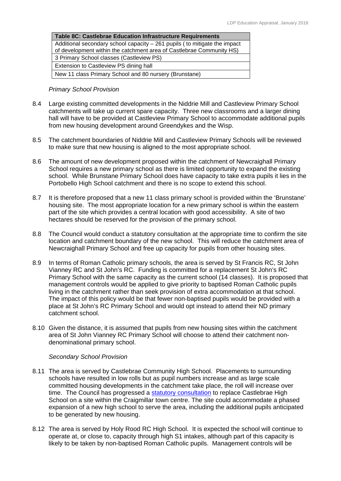## *Primary School Provision*

- 8.4 Large existing committed developments in the Niddrie Mill and Castleview Primary School catchments will take up current spare capacity. Three new classrooms and a larger dining hall will have to be provided at Castleview Primary School to accommodate additional pupils from new housing development around Greendykes and the Wisp.
- 8.5 The catchment boundaries of Niddrie Mill and Castleview Primary Schools will be reviewed to make sure that new housing is aligned to the most appropriate school.
- 8.6 The amount of new development proposed within the catchment of Newcraighall Primary School requires a new primary school as there is limited opportunity to expand the existing school. While Brunstane Primary School does have capacity to take extra pupils it lies in the Portobello High School catchment and there is no scope to extend this school.
- 8.7 It is therefore proposed that a new 11 class primary school is provided within the 'Brunstane' housing site. The most appropriate location for a new primary school is within the eastern part of the site which provides a central location with good accessibility. A site of two hectares should be reserved for the provision of the primary school.
- 8.8 The Council would conduct a statutory consultation at the appropriate time to confirm the site location and catchment boundary of the new school. This will reduce the catchment area of Newcraighall Primary School and free up capacity for pupils from other housing sites.
- 8.9 In terms of Roman Catholic primary schools, the area is served by St Francis RC, St John Vianney RC and St John's RC. Funding is committed for a replacement St John's RC Primary School with the same capacity as the current school (14 classes). It is proposed that management controls would be applied to give priority to baptised Roman Catholic pupils living in the catchment rather than seek provision of extra accommodation at that school. The impact of this policy would be that fewer non-baptised pupils would be provided with a place at St John's RC Primary School and would opt instead to attend their ND primary catchment school.
- 8.10 Given the distance, it is assumed that pupils from new housing sites within the catchment area of St John Vianney RC Primary School will choose to attend their catchment nondenominational primary school.

## *Secondary School Provision*

- 8.11 The area is served by Castlebrae Community High School. Placements to surrounding schools have resulted in low rolls but as pupil numbers increase and as large scale committed housing developments in the catchment take place, the roll will increase over time. The Council has progressed a statutory consultation to replace Castlebrae High School on a site within the Craigmillar town centre. The site could accommodate a phased expansion of a new high school to serve the area, including the additional pupils anticipated to be generated by new housing.
- 8.12 The area is served by Holy Rood RC High School. It is expected the school will continue to operate at, or close to, capacity through high S1 intakes, although part of this capacity is likely to be taken by non-baptised Roman Catholic pupils. Management controls will be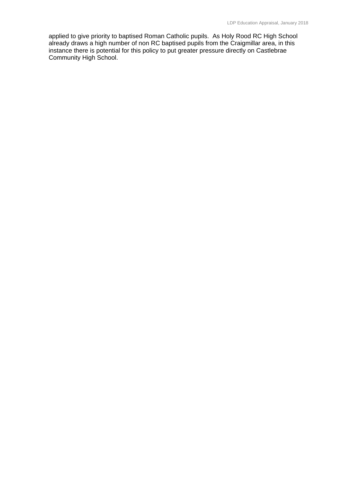applied to give priority to baptised Roman Catholic pupils. As Holy Rood RC High School already draws a high number of non RC baptised pupils from the Craigmillar area, in this instance there is potential for this policy to put greater pressure directly on Castlebrae Community High School.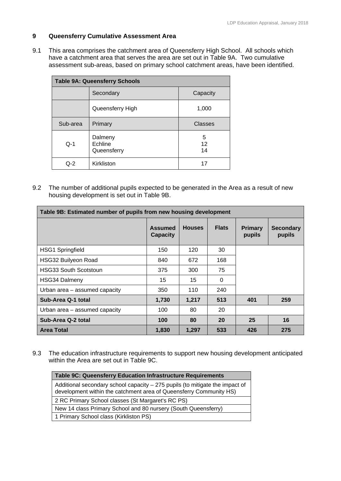## **9 Queensferry Cumulative Assessment Area**

9.1 This area comprises the catchment area of Queensferry High School. All schools which have a catchment area that serves the area are set out in Table 9A. Two cumulative assessment sub-areas, based on primary school catchment areas, have been identified.

|          | <b>Table 9A: Queensferry Schools</b> |               |
|----------|--------------------------------------|---------------|
|          | Secondary                            | Capacity      |
|          | Queensferry High                     | 1,000         |
| Sub-area | Primary                              | Classes       |
| $Q-1$    | Dalmeny<br>Echline<br>Queensferry    | 5<br>12<br>14 |
| $O-2$    | Kirkliston                           | 17            |

9.2 The number of additional pupils expected to be generated in the Area as a result of new housing development is set out in Table 9B.

| Table 9B: Estimated number of pupils from new housing development |                                   |               |              |                          |                            |
|-------------------------------------------------------------------|-----------------------------------|---------------|--------------|--------------------------|----------------------------|
|                                                                   | <b>Assumed</b><br><b>Capacity</b> | <b>Houses</b> | <b>Flats</b> | <b>Primary</b><br>pupils | <b>Secondary</b><br>pupils |
| <b>HSG1 Springfield</b>                                           | 150                               | 120           | 30           |                          |                            |
| <b>HSG32 Builyeon Road</b>                                        | 840                               | 672           | 168          |                          |                            |
| <b>HSG33 South Scotstoun</b>                                      | 375                               | 300           | 75           |                          |                            |
| <b>HSG34 Dalmeny</b>                                              | 15                                | 15            | 0            |                          |                            |
| Urban area - assumed capacity                                     | 350                               | 110           | 240          |                          |                            |
| Sub-Area Q-1 total                                                | 1,730                             | 1,217         | 513          | 401                      | 259                        |
| Urban area - assumed capacity                                     | 100                               | 80            | 20           |                          |                            |
| Sub-Area Q-2 total                                                | 100                               | 80            | 20           | 25                       | 16                         |
| <b>Area Total</b>                                                 | 1,830                             | 1,297         | 533          | 426                      | 275                        |

9.3 The education infrastructure requirements to support new housing development anticipated within the Area are set out in Table 9C.

| Table 9C: Queensferry Education Infrastructure Requirements                                                                                        |
|----------------------------------------------------------------------------------------------------------------------------------------------------|
| Additional secondary school capacity - 275 pupils (to mitigate the impact of<br>development within the catchment area of Queensferry Community HS) |
| 2 RC Primary School classes (St Margaret's RC PS)                                                                                                  |
| New 14 class Primary School and 80 nursery (South Queensferry)                                                                                     |
| 1 Primary School class (Kirkliston PS)                                                                                                             |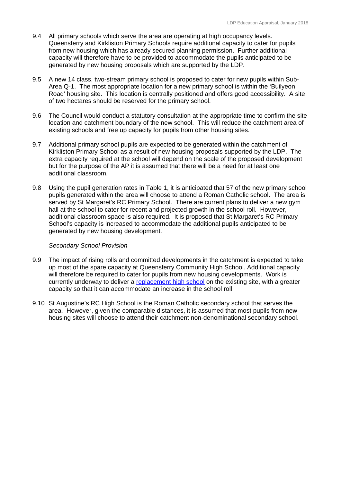- 9.4 All primary schools which serve the area are operating at high occupancy levels. Queensferry and Kirkliston Primary Schools require additional capacity to cater for pupils from new housing which has already secured planning permission. Further additional capacity will therefore have to be provided to accommodate the pupils anticipated to be generated by new housing proposals which are supported by the LDP.
- 9.5 A new 14 class, two-stream primary school is proposed to cater for new pupils within Sub-Area Q-1. The most appropriate location for a new primary school is within the 'Builyeon Road' housing site. This location is centrally positioned and offers good accessibility. A site of two hectares should be reserved for the primary school.
- 9.6 The Council would conduct a statutory consultation at the appropriate time to confirm the site location and catchment boundary of the new school. This will reduce the catchment area of existing schools and free up capacity for pupils from other housing sites.
- 9.7 Additional primary school pupils are expected to be generated within the catchment of Kirkliston Primary School as a result of new housing proposals supported by the LDP. The extra capacity required at the school will depend on the scale of the proposed development but for the purpose of the AP it is assumed that there will be a need for at least one additional classroom.
- 9.8 Using the pupil generation rates in Table 1, it is anticipated that 57 of the new primary school pupils generated within the area will choose to attend a Roman Catholic school. The area is served by St Margaret's RC Primary School. There are current plans to deliver a new gym hall at the school to cater for recent and projected growth in the school roll. However, additional classroom space is also required. It is proposed that St Margaret's RC Primary School's capacity is increased to accommodate the additional pupils anticipated to be generated by new housing development.

#### *Secondary School Provision*

- 9.9 The impact of rising rolls and committed developments in the catchment is expected to take up most of the spare capacity at Queensferry Community High School. Additional capacity will therefore be required to cater for pupils from new housing developments. Work is currently underway to deliver a replacement high school on the existing site, with a greater capacity so that it can accommodate an increase in the school roll.
- 9.10 St Augustine's RC High School is the Roman Catholic secondary school that serves the area. However, given the comparable distances, it is assumed that most pupils from new housing sites will choose to attend their catchment non-denominational secondary school.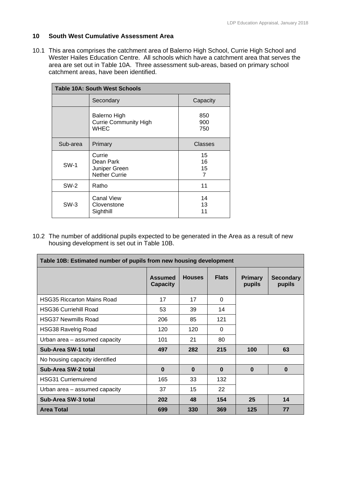## **10 South West Cumulative Assessment Area**

10.1 This area comprises the catchment area of Balerno High School, Currie High School and Wester Hailes Education Centre. All schools which have a catchment area that serves the area are set out in Table 10A. Three assessment sub-areas, based on primary school catchment areas, have been identified.

| <b>Table 10A: South West Schools</b> |                                                                    |                     |  |  |
|--------------------------------------|--------------------------------------------------------------------|---------------------|--|--|
|                                      | Secondary                                                          | Capacity            |  |  |
|                                      | <b>Balerno High</b><br><b>Currie Community High</b><br><b>WHEC</b> | 850<br>900<br>750   |  |  |
| Sub-area                             | Primary                                                            | Classes             |  |  |
| <b>SW-1</b>                          | Currie<br>Dean Park<br>Juniper Green<br><b>Nether Currie</b>       | 15<br>16<br>15<br>7 |  |  |
| <b>SW-2</b>                          | Ratho                                                              | 11                  |  |  |
| $SW-3$                               | <b>Canal View</b><br>Clovenstone<br>Sighthill                      | 14<br>13<br>11      |  |  |

10.2 The number of additional pupils expected to be generated in the Area as a result of new housing development is set out in Table 10B.

| Table 10B: Estimated number of pupils from new housing development |                                   |               |              |                          |                            |  |
|--------------------------------------------------------------------|-----------------------------------|---------------|--------------|--------------------------|----------------------------|--|
|                                                                    | <b>Assumed</b><br><b>Capacity</b> | <b>Houses</b> | <b>Flats</b> | <b>Primary</b><br>pupils | <b>Secondary</b><br>pupils |  |
| <b>HSG35 Riccarton Mains Road</b>                                  | 17                                | 17            | 0            |                          |                            |  |
| <b>HSG36 Curriehill Road</b>                                       | 53                                | 39            | 14           |                          |                            |  |
| <b>HSG37 Newmills Road</b>                                         | 206                               | 85            | 121          |                          |                            |  |
| <b>HSG38 Ravelrig Road</b>                                         | 120                               | 120           | $\Omega$     |                          |                            |  |
| Urban area – assumed capacity                                      | 101                               | 21            | 80           |                          |                            |  |
| Sub-Area SW-1 total                                                | 497                               | 282           | 215          | 100                      | 63                         |  |
| No housing capacity identified                                     |                                   |               |              |                          |                            |  |
| Sub-Area SW-2 total                                                | $\bf{0}$                          | $\bf{0}$      | $\bf{0}$     | $\bf{0}$                 | $\bf{0}$                   |  |
| <b>HSG31 Curriemuirend</b>                                         | 165                               | 33            | 132          |                          |                            |  |
| Urban area - assumed capacity                                      | 37                                | 15            | 22           |                          |                            |  |
| Sub-Area SW-3 total                                                | 202                               | 48            | 154          | 25                       | 14                         |  |
| <b>Area Total</b>                                                  | 699                               | 330           | 369          | 125                      | 77                         |  |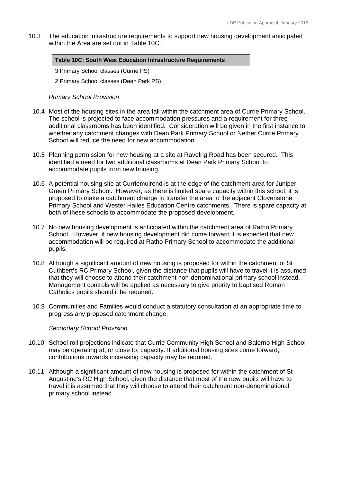10.3 The education infrastructure requirements to support new housing development anticipated within the Area are set out in Table 10C.

| Table 10C: South West Education Infrastructure Requirements |  |  |  |
|-------------------------------------------------------------|--|--|--|
| 3 Primary School classes (Currie PS)                        |  |  |  |
| 2 Primary School classes (Dean Park PS)                     |  |  |  |

## *Primary School Provision*

- 10.4 Most of the housing sites in the area fall within the catchment area of Currie Primary School. The school is projected to face accommodation pressures and a requirement for three additional classrooms has been identified. Consideration will be given in the first instance to whether any catchment changes with Dean Park Primary School or Nether Currie Primary School will reduce the need for new accommodation.
- 10.5 Planning permission for new housing at a site at Ravelrig Road has been secured. This identified a need for two additional classrooms at Dean Park Primary School to accommodate pupils from new housing.
- 10.6 A potential housing site at Curriemuirend is at the edge of the catchment area for Juniper Green Primary School. However, as there is limited spare capacity within this school, it is proposed to make a catchment change to transfer the area to the adjacent Clovenstone Primary School and Wester Hailes Education Centre catchments. There is spare capacity at both of these schools to accommodate the proposed development.
- 10.7 No new housing development is anticipated within the catchment area of Ratho Primary School. However, if new housing development did come forward it is expected that new accommodation will be required at Ratho Primary School to accommodate the additional pupils.
- 10.8 Although a significant amount of new housing is proposed for within the catchment of St Cuthbert's RC Primary School, given the distance that pupils will have to travel it is assumed that they will choose to attend their catchment non-denominational primary school instead. Management controls will be applied as necessary to give priority to baptised Roman Catholics pupils should it be required.
- 10.9 Communities and Families would conduct a statutory consultation at an appropriate time to progress any proposed catchment change.

## *Secondary School Provision*

- 10.10 School roll projections indicate that Currie Community High School and Balerno High School may be operating at, or close to, capacity. If additional housing sites come forward, contributions towards increasing capacity may be required.
- 10.11 Although a significant amount of new housing is proposed for within the catchment of St Augustine's RC High School, given the distance that most of the new pupils will have to travel it is assumed that they will choose to attend their catchment non-denominational primary school instead.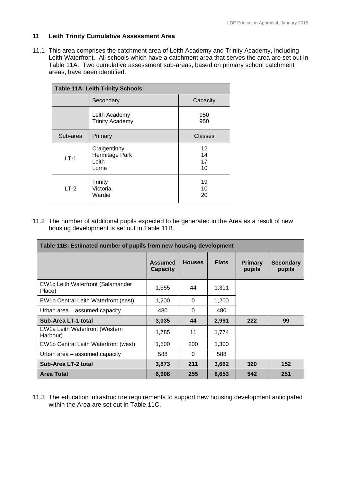## **11 Leith Trinity Cumulative Assessment Area**

11.1 This area comprises the catchment area of Leith Academy and Trinity Academy, including Leith Waterfront. All schools which have a catchment area that serves the area are set out in Table 11A. Two cumulative assessment sub-areas, based on primary school catchment areas, have been identified.

| <b>Table 11A: Leith Trinity Schools</b> |                                                  |                      |  |  |
|-----------------------------------------|--------------------------------------------------|----------------------|--|--|
|                                         | Secondary                                        | Capacity             |  |  |
|                                         | Leith Academy<br><b>Trinity Academy</b>          | 950<br>950           |  |  |
| Sub-area                                | Primary                                          | <b>Classes</b>       |  |  |
| $LT-1$                                  | Craigentinny<br>Hermitage Park<br>Leith<br>Lorne | 12<br>14<br>17<br>10 |  |  |
| $LT-2$                                  | Trinity<br>Victoria<br>Wardie                    | 19<br>10<br>20       |  |  |

11.2 The number of additional pupils expected to be generated in the Area as a result of new housing development is set out in Table 11B.

| Table 11B: Estimated number of pupils from new housing development |                                   |               |              |                          |                            |  |
|--------------------------------------------------------------------|-----------------------------------|---------------|--------------|--------------------------|----------------------------|--|
|                                                                    | <b>Assumed</b><br><b>Capacity</b> | <b>Houses</b> | <b>Flats</b> | <b>Primary</b><br>pupils | <b>Secondary</b><br>pupils |  |
| EW1c Leith Waterfront (Salamander<br>Place)                        | 1,355                             | 44            | 1,311        |                          |                            |  |
| EW1b Central Leith Waterfront (east)                               | 1,200                             | $\Omega$      | 1,200        |                          |                            |  |
| Urban area - assumed capacity                                      | 480                               | $\Omega$      | 480          |                          |                            |  |
| Sub-Area LT-1 total                                                | 3,035                             | 44            | 2,991        | 222                      | 99                         |  |
| EW1a Leith Waterfront (Western<br>Harbour)                         | 1,785                             | 11            | 1,774        |                          |                            |  |
| EW1b Central Leith Waterfront (west)                               | 1,500                             | 200           | 1,300        |                          |                            |  |
| Urban area - assumed capacity                                      | 588                               | 0             | 588          |                          |                            |  |
| Sub-Area LT-2 total                                                | 3,873                             | 211           | 3,662        | 320                      | 152                        |  |
| <b>Area Total</b>                                                  | 6,908                             | 255           | 6,653        | 542                      | 251                        |  |

11.3 The education infrastructure requirements to support new housing development anticipated within the Area are set out in Table 11C.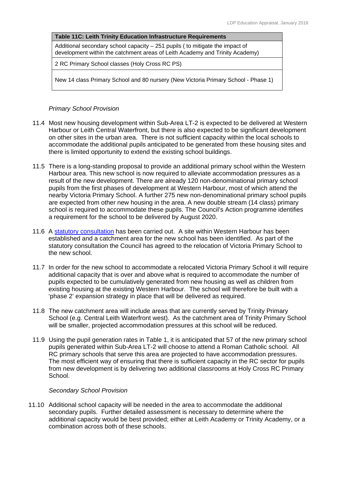## **Table 11C: Leith Trinity Education Infrastructure Requirements**

Additional secondary school capacity – 251 pupils ( to mitigate the impact of development within the catchment areas of Leith Academy and Trinity Academy)

2 RC Primary School classes (Holy Cross RC PS)

New 14 class Primary School and 80 nursery (New Victoria Primary School - Phase 1)

## *Primary School Provision*

- 11.4 Most new housing development within Sub-Area LT-2 is expected to be delivered at Western Harbour or Leith Central Waterfront, but there is also expected to be significant development on other sites in the urban area. There is not sufficient capacity within the local schools to accommodate the additional pupils anticipated to be generated from these housing sites and there is limited opportunity to extend the existing school buildings.
- 11.5 There is a long-standing proposal to provide an additional primary school within the Western Harbour area. This new school is now required to alleviate accommodation pressures as a result of the new development. There are already 120 non-denominational primary school pupils from the first phases of development at Western Harbour, most of which attend the nearby Victoria Primary School. A further 275 new non-denominational primary school pupils are expected from other new housing in the area. A new double stream (14 class) primary school is required to accommodate these pupils. The Council's Action programme identifies a requirement for the school to be delivered by August 2020.
- 11.6 A statutory consultation has been carried out. A site within Western Harbour has been established and a catchment area for the new school has been identified. As part of the statutory consultation the Council has agreed to the relocation of Victoria Primary School to the new school.
- 11.7 In order for the new school to accommodate a relocated Victoria Primary School it will require additional capacity that is over and above what is required to accommodate the number of pupils expected to be cumulatively generated from new housing as well as children from existing housing at the existing Western Harbour. The school will therefore be built with a 'phase 2' expansion strategy in place that will be delivered as required.
- 11.8 The new catchment area will include areas that are currently served by Trinity Primary School (e.g. Central Leith Waterfront west). As the catchment area of Trinity Primary School will be smaller, projected accommodation pressures at this school will be reduced.
- 11.9 Using the pupil generation rates in Table 1, it is anticipated that 57 of the new primary school pupils generated within Sub-Area LT-2 will choose to attend a Roman Catholic school. All RC primary schools that serve this area are projected to have accommodation pressures. The most efficient way of ensuring that there is sufficient capacity in the RC sector for pupils from new development is by delivering two additional classrooms at Holy Cross RC Primary School.

## *Secondary School Provision*

11.10 Additional school capacity will be needed in the area to accommodate the additional secondary pupils. Further detailed assessment is necessary to determine where the additional capacity would be best provided; either at Leith Academy or Trinity Academy, or a combination across both of these schools.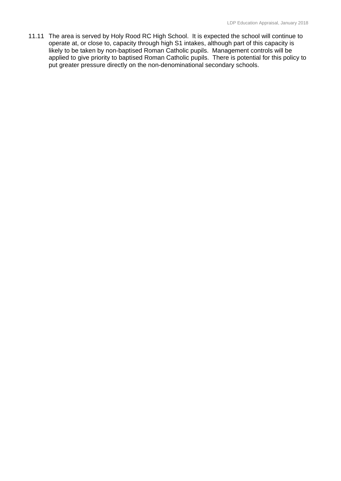11.11 The area is served by Holy Rood RC High School. It is expected the school will continue to operate at, or close to, capacity through high S1 intakes, although part of this capacity is likely to be taken by non-baptised Roman Catholic pupils. Management controls will be applied to give priority to baptised Roman Catholic pupils. There is potential for this policy to put greater pressure directly on the non-denominational secondary schools.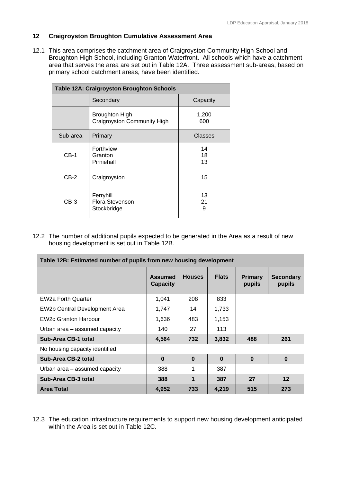## **12 Craigroyston Broughton Cumulative Assessment Area**

12.1 This area comprises the catchment area of Craigroyston Community High School and Broughton High School, including Granton Waterfront. All schools which have a catchment area that serves the area are set out in Table 12A. Three assessment sub-areas, based on primary school catchment areas, have been identified.

| <b>Table 12A: Craigroyston Broughton Schools</b> |                                                      |                |  |  |
|--------------------------------------------------|------------------------------------------------------|----------------|--|--|
|                                                  | Secondary                                            | Capacity       |  |  |
|                                                  | <b>Broughton High</b><br>Craigroyston Community High | 1,200<br>600   |  |  |
| Sub-area                                         | Primary                                              | Classes        |  |  |
| $CB-1$                                           | Forthview<br>Granton<br>Pirniehall                   | 14<br>18<br>13 |  |  |
| $CB-2$                                           | Craigroyston                                         | 15             |  |  |
| $CB-3$                                           | Ferryhill<br><b>Flora Stevenson</b><br>Stockbridge   | 13<br>21<br>9  |  |  |

12.2 The number of additional pupils expected to be generated in the Area as a result of new housing development is set out in Table 12B.

| Table 12B: Estimated number of pupils from new housing development |                                   |               |              |                          |                            |  |
|--------------------------------------------------------------------|-----------------------------------|---------------|--------------|--------------------------|----------------------------|--|
|                                                                    | <b>Assumed</b><br><b>Capacity</b> | <b>Houses</b> | <b>Flats</b> | <b>Primary</b><br>pupils | <b>Secondary</b><br>pupils |  |
| <b>EW2a Forth Quarter</b>                                          | 1,041                             | 208           | 833          |                          |                            |  |
| EW2b Central Development Area                                      | 1,747                             | 14            | 1,733        |                          |                            |  |
| <b>EW2c Granton Harbour</b>                                        | 1,636                             | 483           | 1,153        |                          |                            |  |
| Urban area - assumed capacity                                      | 140                               | 27            | 113          |                          |                            |  |
| Sub-Area CB-1 total                                                | 4,564                             | 732           | 3,832        | 488                      | 261                        |  |
| No housing capacity identified                                     |                                   |               |              |                          |                            |  |
| Sub-Area CB-2 total                                                | $\bf{0}$                          | $\bf{0}$      | $\bf{0}$     | $\Omega$                 | $\bf{0}$                   |  |
| Urban area - assumed capacity                                      | 388                               | 1             | 387          |                          |                            |  |
| Sub-Area CB-3 total                                                | 388                               | 1             | 387          | 27                       | 12                         |  |
| <b>Area Total</b>                                                  | 4,952                             | 733           | 4,219        | 515                      | 273                        |  |

12.3 The education infrastructure requirements to support new housing development anticipated within the Area is set out in Table 12C.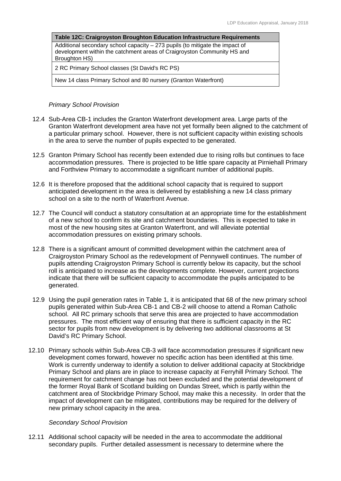| <b>Table 12C: Craigroyston Broughton Education Infrastructure Requirements</b>                                                                                            |
|---------------------------------------------------------------------------------------------------------------------------------------------------------------------------|
| Additional secondary school capacity $-273$ pupils (to mitigate the impact of<br>development within the catchment areas of Craigroyston Community HS and<br>Broughton HS) |
| 2 RC Primary School classes (St David's RC PS)                                                                                                                            |
| New 14 class Primary School and 80 nursery (Granton Waterfront)                                                                                                           |

## *Primary School Provision*

- 12.4 Sub-Area CB-1 includes the Granton Waterfront development area. Large parts of the Granton Waterfront development area have not yet formally been aligned to the catchment of a particular primary school. However, there is not sufficient capacity within existing schools in the area to serve the number of pupils expected to be generated.
- 12.5 Granton Primary School has recently been extended due to rising rolls but continues to face accommodation pressures. There is projected to be little spare capacity at Pirniehall Primary and Forthview Primary to accommodate a significant number of additional pupils.
- 12.6 It is therefore proposed that the additional school capacity that is required to support anticipated development in the area is delivered by establishing a new 14 class primary school on a site to the north of Waterfront Avenue.
- 12.7 The Council will conduct a statutory consultation at an appropriate time for the establishment of a new school to confirm its site and catchment boundaries. This is expected to take in most of the new housing sites at Granton Waterfront, and will alleviate potential accommodation pressures on existing primary schools.
- 12.8 There is a significant amount of committed development within the catchment area of Craigroyston Primary School as the redevelopment of Pennywell continues. The number of pupils attending Craigroyston Primary School is currently below its capacity, but the school roll is anticipated to increase as the developments complete. However, current projections indicate that there will be sufficient capacity to accommodate the pupils anticipated to be generated.
- 12.9 Using the pupil generation rates in Table 1, it is anticipated that 68 of the new primary school pupils generated within Sub-Area CB-1 and CB-2 will choose to attend a Roman Catholic school. All RC primary schools that serve this area are projected to have accommodation pressures. The most efficient way of ensuring that there is sufficient capacity in the RC sector for pupils from new development is by delivering two additional classrooms at St David's RC Primary School.
- 12.10 Primary schools within Sub-Area CB-3 will face accommodation pressures if significant new development comes forward, however no specific action has been identified at this time. Work is currently underway to identify a solution to deliver additional capacity at Stockbridge Primary School and plans are in place to increase capacity at Ferryhill Primary School. The requirement for catchment change has not been excluded and the potential development of the former Royal Bank of Scotland building on Dundas Street, which is partly within the catchment area of Stockbridge Primary School, may make this a necessity. In order that the impact of development can be mitigated, contributions may be required for the delivery of new primary school capacity in the area.

## *Secondary School Provision*

12.11 Additional school capacity will be needed in the area to accommodate the additional secondary pupils. Further detailed assessment is necessary to determine where the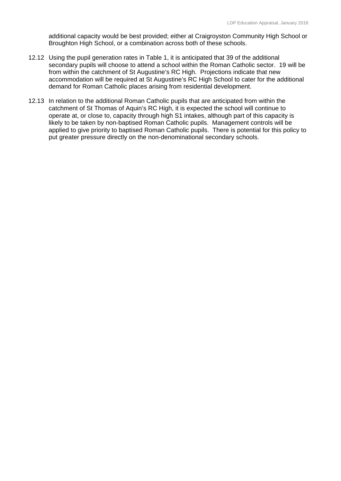additional capacity would be best provided; either at Craigroyston Community High School or Broughton High School, or a combination across both of these schools.

- demand for Roman Catholic places arising from residential development. 12.12 Using the pupil generation rates in Table 1, it is anticipated that 39 of the additional secondary pupils will choose to attend a school within the Roman Catholic sector. 19 will be from within the catchment of St Augustine's RC High. Projections indicate that new accommodation will be required at St Augustine's RC High School to cater for the additional
- 12.13 In relation to the additional Roman Catholic pupils that are anticipated from within the catchment of St Thomas of Aquin's RC High, it is expected the school will continue to operate at, or close to, capacity through high S1 intakes, although part of this capacity is likely to be taken by non-baptised Roman Catholic pupils. Management controls will be applied to give priority to baptised Roman Catholic pupils. There is potential for this policy to put greater pressure directly on the non-denominational secondary schools.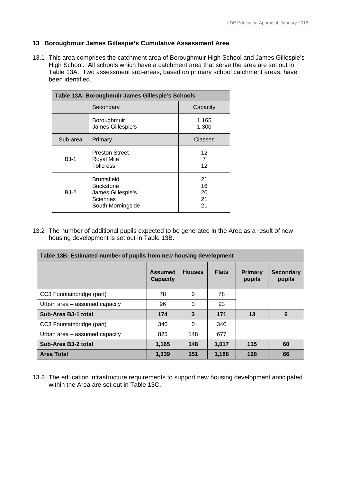## **13 Boroughmuir James Gillespie's Cumulative Assessment Area**

13.1 This area comprises the catchment area of Boroughmuir High School and James Gillespie's High School. All schools which have a catchment area that serve the area are set out in Table 13A. Two assessment sub-areas, based on primary school catchment areas, have been identified.

| Table 13A: Boroughmuir James Gillespie's Schools |                                                                                       |                            |  |  |
|--------------------------------------------------|---------------------------------------------------------------------------------------|----------------------------|--|--|
|                                                  | Secondary                                                                             | Capacity                   |  |  |
|                                                  | Boroughmuir<br>James Gillespie's                                                      | 1,165<br>1,300             |  |  |
| Sub-area                                         | Primary                                                                               | Classes                    |  |  |
| $BJ-1$                                           | <b>Preston Street</b><br><b>Royal Mile</b><br><b>Tollcross</b>                        | 12<br>7<br>12              |  |  |
| <b>BJ-2</b>                                      | <b>Bruntsfield</b><br>Buckstone<br>James Gillespie's<br>Sciennes<br>South Morningside | 21<br>16<br>20<br>21<br>21 |  |  |

13.2 The number of additional pupils expected to be generated in the Area as a result of new housing development is set out in Table 13B.

| Table 13B: Estimated number of pupils from new housing development |                                   |               |              |                          |                            |  |
|--------------------------------------------------------------------|-----------------------------------|---------------|--------------|--------------------------|----------------------------|--|
|                                                                    | <b>Assumed</b><br><b>Capacity</b> | <b>Houses</b> | <b>Flats</b> | <b>Primary</b><br>pupils | <b>Secondary</b><br>pupils |  |
| CC3 Fountainbridge (part)                                          | 78                                | 0             | 78           |                          |                            |  |
| Urban area - assumed capacity                                      | 96                                | 3             | 93           |                          |                            |  |
| Sub-Area BJ-1 total                                                | 174                               | 3             | 171          | 13                       | 6                          |  |
| CC3 Fountainbridge (part)                                          | 340                               | 0             | 340          |                          |                            |  |
| Urban area - assumed capacity                                      | 825                               | 148           | 677          |                          |                            |  |
| Sub-Area BJ-2 total                                                | 1,165                             | 148           | 1,017        | 115                      | 60                         |  |
| <b>Area Total</b>                                                  | 1.339                             | 151           | 1.188        | 128                      | 66                         |  |

13.3 The education infrastructure requirements to support new housing development anticipated within the Area are set out in Table 13C.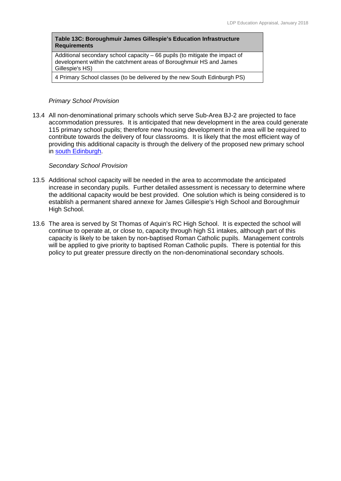### **Table 13C: Boroughmuir James Gillespie's Education Infrastructure Requirements**

Additional secondary school capacity – 66 pupils (to mitigate the impact of development within the catchment areas of Boroughmuir HS and James Gillespie's HS)

4 Primary School classes (to be delivered by the new South Edinburgh PS)

#### *Primary School Provision*

13.4 All non-denominational primary schools which serve Sub-Area BJ-2 are projected to face accommodation pressures. It is anticipated that new development in the area could generate 115 primary school pupils; therefore new housing development in the area will be required to contribute towards the delivery of four classrooms. It is likely that the most efficient way of providing this additional capacity is through the delivery of the proposed new primary school in south Edinburgh.

#### *Secondary School Provision*

- 13.5 Additional school capacity will be needed in the area to accommodate the anticipated increase in secondary pupils. Further detailed assessment is necessary to determine where the additional capacity would be best provided. One solution which is being considered is to establish a permanent shared annexe for James Gillespie's High School and Boroughmuir High School.
- 13.6 The area is served by St Thomas of Aquin's RC High School. It is expected the school will continue to operate at, or close to, capacity through high S1 intakes, although part of this capacity is likely to be taken by non-baptised Roman Catholic pupils. Management controls will be applied to give priority to baptised Roman Catholic pupils. There is potential for this policy to put greater pressure directly on the non-denominational secondary schools.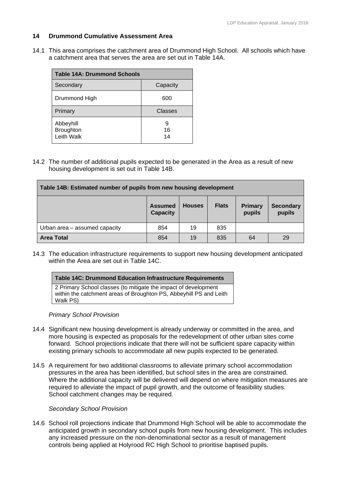## **14 Drummond Cumulative Assessment Area**

14.1 This area comprises the catchment area of Drummond High School. All schools which have a catchment area that serves the area are set out in Table 14A.

| <b>Table 14A: Drummond Schools</b>          |                |  |  |  |  |
|---------------------------------------------|----------------|--|--|--|--|
| Secondary                                   | Capacity       |  |  |  |  |
| Drummond High                               | 600            |  |  |  |  |
| Primary                                     | <b>Classes</b> |  |  |  |  |
| Abbeyhill<br><b>Broughton</b><br>Leith Walk | 9<br>16<br>14  |  |  |  |  |

14.2 The number of additional pupils expected to be generated in the Area as a result of new housing development is set out in Table 14B.

| Table 14B: Estimated number of pupils from new housing development |                                   |               |              |                          |                            |  |
|--------------------------------------------------------------------|-----------------------------------|---------------|--------------|--------------------------|----------------------------|--|
|                                                                    | <b>Assumed</b><br><b>Capacity</b> | <b>Houses</b> | <b>Flats</b> | <b>Primary</b><br>pupils | <b>Secondary</b><br>pupils |  |
| Urban area - assumed capacity                                      | 854                               | 19            | 835          |                          |                            |  |
| <b>Area Total</b>                                                  | 854                               | 19            | 835          | 64                       | 29                         |  |

14.3 The education infrastructure requirements to support new housing development anticipated within the Area are set out in Table 14C.

| Table 14C: Drummond Education Infrastructure Requirements                                                                                         |
|---------------------------------------------------------------------------------------------------------------------------------------------------|
| 2 Primary School classes (to mitigate the impact of development<br>within the catchment areas of Broughton PS, Abbeyhill PS and Leith<br>Walk PS) |

#### *Primary School Provision*

- 14.4 Significant new housing development is already underway or committed in the area, and more housing is expected as proposals for the redevelopment of other urban sites come forward. School projections indicate that there will not be sufficient spare capacity within existing primary schools to accommodate all new pupils expected to be generated.
- 14.5 A requirement for two additional classrooms to alleviate primary school accommodation pressures in the area has been identified, but school sites in the area are constrained. Where the additional capacity will be delivered will depend on where mitigation measures are required to alleviate the impact of pupil growth, and the outcome of feasibility studies. School catchment changes may be required.

## *Secondary School Provision*

14.6 School roll projections indicate that Drummond High School will be able to accommodate the anticipated growth in secondary school pupils from new housing development. This includes any increased pressure on the non-denominational sector as a result of management controls being applied at Holyrood RC High School to prioritise baptised pupils.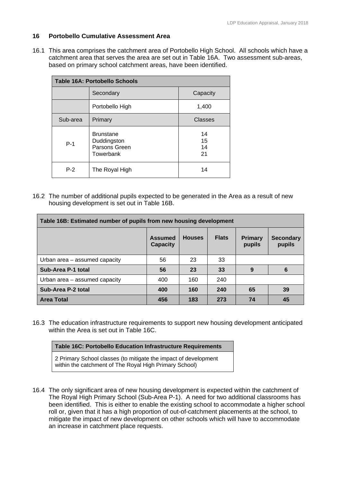## **16 Portobello Cumulative Assessment Area**

16.1 This area comprises the catchment area of Portobello High School. All schools which have a catchment area that serves the area are set out in Table 16A. Two assessment sub-areas, based on primary school catchment areas, have been identified.

| Table 16A: Portobello Schools |                                                               |                      |  |  |  |  |  |  |
|-------------------------------|---------------------------------------------------------------|----------------------|--|--|--|--|--|--|
|                               | Secondary                                                     | Capacity             |  |  |  |  |  |  |
|                               | Portobello High                                               | 1,400                |  |  |  |  |  |  |
| Sub-area                      | Primary                                                       | Classes              |  |  |  |  |  |  |
| $P-1$                         | <b>Brunstane</b><br>Duddingston<br>Parsons Green<br>Towerbank | 14<br>15<br>14<br>21 |  |  |  |  |  |  |
| $P-2$                         | The Royal High                                                | 14                   |  |  |  |  |  |  |

16.2 The number of additional pupils expected to be generated in the Area as a result of new housing development is set out in Table 16B.

| Table 16B: Estimated number of pupils from new housing development |                            |               |              |                          |                            |  |  |  |  |  |
|--------------------------------------------------------------------|----------------------------|---------------|--------------|--------------------------|----------------------------|--|--|--|--|--|
|                                                                    | Assumed<br><b>Capacity</b> | <b>Houses</b> | <b>Flats</b> | <b>Primary</b><br>pupils | <b>Secondary</b><br>pupils |  |  |  |  |  |
| Urban area - assumed capacity                                      | 56                         | 23            | 33           |                          |                            |  |  |  |  |  |
| Sub-Area P-1 total                                                 | 56                         | 23            | 33           | 9                        | 6                          |  |  |  |  |  |
| Urban area – assumed capacity                                      | 400                        | 160           | 240          |                          |                            |  |  |  |  |  |
| Sub-Area P-2 total                                                 | 400                        | 160           | 240          | 65                       | 39                         |  |  |  |  |  |
| <b>Area Total</b>                                                  | 456                        | 183           | 273          | 74                       | 45                         |  |  |  |  |  |

16.3 The education infrastructure requirements to support new housing development anticipated within the Area is set out in Table 16C.

| <b>Table 16C: Portobello Education Infrastructure Requirements</b>                                                        |
|---------------------------------------------------------------------------------------------------------------------------|
| 2 Primary School classes (to mitigate the impact of development<br>within the catchment of The Royal High Primary School) |

16.4 The only significant area of new housing development is expected within the catchment of The Royal High Primary School (Sub-Area P-1). A need for two additional classrooms has been identified. This is either to enable the existing school to accommodate a higher school roll or, given that it has a high proportion of out-of-catchment placements at the school, to mitigate the impact of new development on other schools which will have to accommodate an increase in catchment place requests.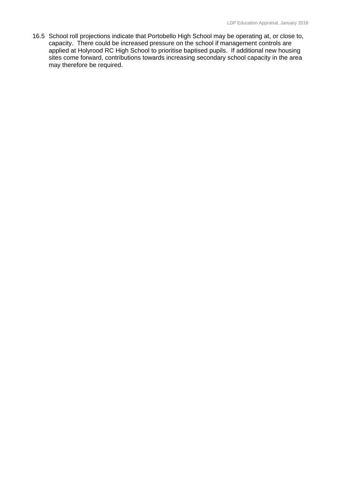16.5 School roll projections indicate that Portobello High School may be operating at, or close to, capacity. There could be increased pressure on the school if management controls are applied at Holyrood RC High School to prioritise baptised pupils. If additional new housing sites come forward, contributions towards increasing secondary school capacity in the area may therefore be required.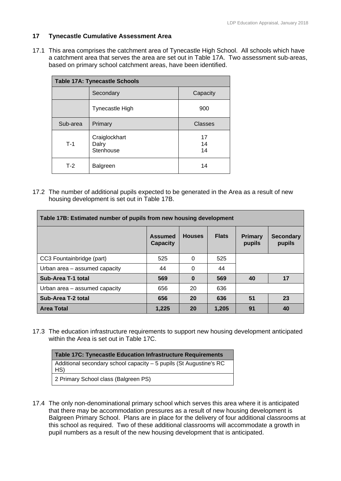## **17 Tynecastle Cumulative Assessment Area**

17.1 This area comprises the catchment area of Tynecastle High School. All schools which have a catchment area that serves the area are set out in Table 17A. Two assessment sub-areas, based on primary school catchment areas, have been identified.

| <b>Table 17A: Tynecastle Schools</b> |                                     |                |  |  |  |  |  |  |
|--------------------------------------|-------------------------------------|----------------|--|--|--|--|--|--|
|                                      | Secondary                           | Capacity       |  |  |  |  |  |  |
|                                      | <b>Tynecastle High</b>              | 900            |  |  |  |  |  |  |
| Sub-area                             | Primary                             | Classes        |  |  |  |  |  |  |
| $T-1$                                | Craiglockhart<br>Dalry<br>Stenhouse | 17<br>14<br>14 |  |  |  |  |  |  |
| $T-2$                                | <b>Balgreen</b>                     | 14             |  |  |  |  |  |  |

17.2 The number of additional pupils expected to be generated in the Area as a result of new housing development is set out in Table 17B.

| Table 17B: Estimated number of pupils from new housing development |                                   |               |              |                          |                            |  |  |  |  |  |  |
|--------------------------------------------------------------------|-----------------------------------|---------------|--------------|--------------------------|----------------------------|--|--|--|--|--|--|
|                                                                    | <b>Assumed</b><br><b>Capacity</b> | <b>Houses</b> | <b>Flats</b> | <b>Primary</b><br>pupils | <b>Secondary</b><br>pupils |  |  |  |  |  |  |
| CC3 Fountainbridge (part)                                          | 525                               | $\Omega$      | 525          |                          |                            |  |  |  |  |  |  |
| Urban area - assumed capacity                                      | 44                                | $\Omega$      | 44           |                          |                            |  |  |  |  |  |  |
| Sub-Area T-1 total                                                 | 569                               | $\bf{0}$      | 569          | 40                       | 17                         |  |  |  |  |  |  |
| Urban area - assumed capacity                                      | 656                               | 20            | 636          |                          |                            |  |  |  |  |  |  |
| Sub-Area T-2 total                                                 | 656                               | 20            | 636          | 51                       | 23                         |  |  |  |  |  |  |
| <b>Area Total</b>                                                  | 1,225                             | 20            | 1,205        | 91                       | 40                         |  |  |  |  |  |  |

17.3 The education infrastructure requirements to support new housing development anticipated within the Area is set out in Table 17C.

| <b>Table 17C: Tynecastle Education Infrastructure Requirements</b>        |
|---------------------------------------------------------------------------|
| Additional secondary school capacity - 5 pupils (St Augustine's RC<br>HS) |
| 2 Primary School class (Balgreen PS)                                      |

17.4 The only non-denominational primary school which serves this area where it is anticipated that there may be accommodation pressures as a result of new housing development is Balgreen Primary School. Plans are in place for the delivery of four additional classrooms at this school as required. Two of these additional classrooms will accommodate a growth in pupil numbers as a result of the new housing development that is anticipated.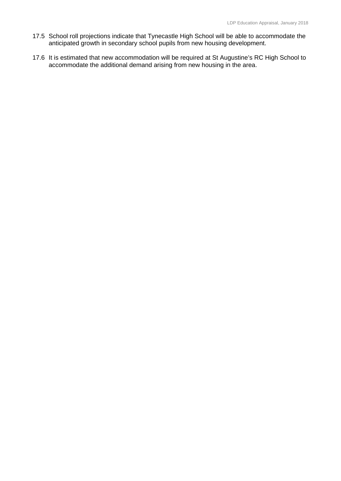- 17.5 School roll projections indicate that Tynecastle High School will be able to accommodate the anticipated growth in secondary school pupils from new housing development.
- 17.6 It is estimated that new accommodation will be required at St Augustine's RC High School to accommodate the additional demand arising from new housing in the area.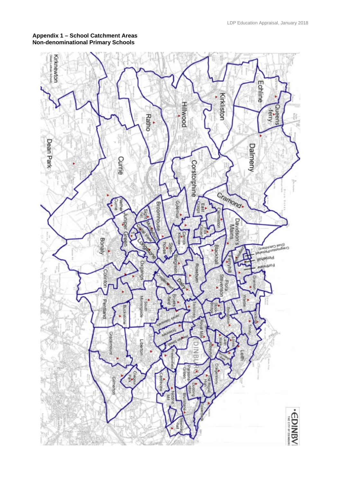## **Appendix 1 – School Catchment Areas Non-denominational Primary Schools**

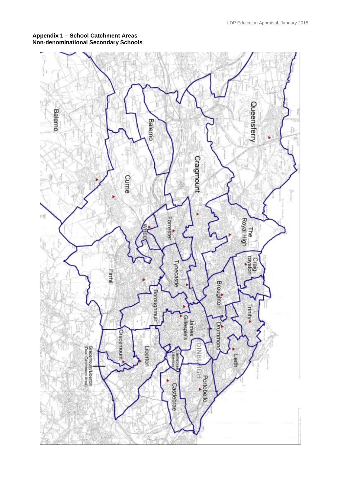#### **Appendix 1 – School Catchment Areas Non-denominational Secondary Schools**

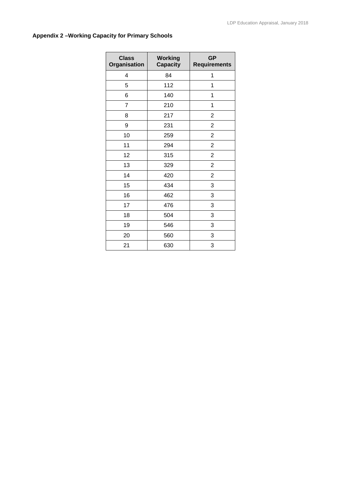# **Appendix 2 –Working Capacity for Primary Schools**

| <b>Class</b><br>Organisation | <b>Working</b><br><b>Capacity</b> | <b>GP</b><br><b>Requirements</b> |
|------------------------------|-----------------------------------|----------------------------------|
| $\overline{4}$               | 84                                | 1                                |
| 5                            | 112                               | 1                                |
| 6                            | 140                               | 1                                |
| $\overline{7}$               | 210                               | 1                                |
| 8                            | 217                               | $\overline{2}$                   |
| 9                            | 231                               | $\overline{2}$                   |
| 10                           | 259                               | $\overline{2}$                   |
| 11                           | 294                               | $\overline{2}$                   |
| 12                           | 315                               | $\overline{c}$                   |
| 13                           | 329                               | $\overline{2}$                   |
| 14                           | 420                               | $\overline{2}$                   |
| 15                           | 434                               | 3                                |
| 16                           | 462                               | 3                                |
| 17                           | 476                               | 3                                |
| 18                           | 504                               | 3                                |
| 19                           | 546                               | 3                                |
| 20                           | 560                               | 3                                |
| 21                           | 630                               | 3                                |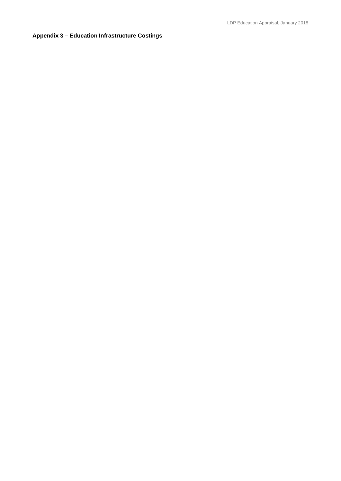# **Appendix 3 – Education Infrastructure Costings**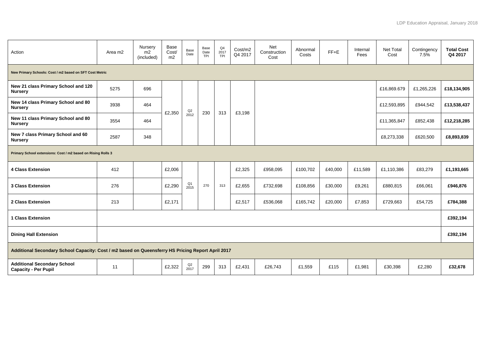| Action                                                                                            | Area m2 | Nursery<br>m2<br>(included) | Base<br>Cost/<br>m2 | Base<br>Date               | Base<br>Date<br>TPI | Q4<br>2017<br>TPI | Cost/m2<br>Q4 2017 | Net<br>Construction<br>Cost | Abnormal<br>Costs | $FF+E$  | Internal<br>Fees | <b>Net Total</b><br>Cost | Contingency<br>7.5% | <b>Total Cost</b><br>Q4 2017 |
|---------------------------------------------------------------------------------------------------|---------|-----------------------------|---------------------|----------------------------|---------------------|-------------------|--------------------|-----------------------------|-------------------|---------|------------------|--------------------------|---------------------|------------------------------|
| New Primary Schools: Cost / m2 based on SFT Cost Metric                                           |         |                             |                     |                            |                     |                   |                    |                             |                   |         |                  |                          |                     |                              |
| New 21 class Primary School and 120<br><b>Nursery</b>                                             | 5275    | 696                         |                     | $\frac{\mathsf{Q2}}{2012}$ | 230                 | 313               | £3,198             |                             |                   |         |                  | £16,869.679              | £1,265,226          | £18,134,905                  |
| New 14 class Primary School and 80<br><b>Nursery</b>                                              | 3938    | 464                         |                     |                            |                     |                   |                    |                             |                   |         |                  | £12,593,895              | £944,542            | £13,538,437                  |
| New 11 class Primary School and 80<br><b>Nursery</b>                                              | 3554    | 464                         | £2,350              |                            |                     |                   |                    |                             |                   |         |                  | £11,365,847              | £852,438            | £12,218,285                  |
| New 7 class Primary School and 60<br><b>Nursery</b>                                               | 2587    | 348                         |                     |                            |                     |                   |                    |                             |                   |         |                  | £8,273,338               | £620,500            | £8,893,839                   |
| Primary School extensions: Cost / m2 based on Rising Rolls 3                                      |         |                             |                     |                            |                     |                   |                    |                             |                   |         |                  |                          |                     |                              |
| <b>4 Class Extension</b>                                                                          | 412     |                             | £2,006              |                            |                     |                   | £2,325             | £958,095                    | £100,702          | £40,000 | £11,589          | £1,110,386               | £83,279             | £1,193,665                   |
| 3 Class Extension                                                                                 | 276     |                             | £2,290              | Q <sub>1</sub><br>2015     | 270                 | 313               | £2,655             | £732,698                    | £108,856          | £30,000 | £9,261           | £880,815                 | £66,061             | £946,876                     |
| 2 Class Extension                                                                                 | 213     |                             | £2,171              |                            |                     |                   | £2,517             | £536,068                    | £165,742          | £20,000 | £7,853           | £729,663                 | £54,725             | £784,388                     |
| <b>1 Class Extension</b>                                                                          |         |                             |                     |                            |                     |                   |                    |                             |                   |         |                  |                          |                     | £392,194                     |
| <b>Dining Hall Extension</b>                                                                      |         |                             |                     |                            |                     |                   |                    |                             |                   |         |                  |                          |                     | £392,194                     |
| Additional Secondary School Capacity: Cost / m2 based on Queensferry HS Pricing Report April 2017 |         |                             |                     |                            |                     |                   |                    |                             |                   |         |                  |                          |                     |                              |
| <b>Additional Secondary School</b><br><b>Capacity - Per Pupil</b>                                 | 11      |                             | £2,322              | $^{Q2}_{2017}$             | 299                 | 313               | £2,431             | £26,743                     | £1,559            | £115    | £1,981           | £30,398                  | £2,280              | £32,678                      |